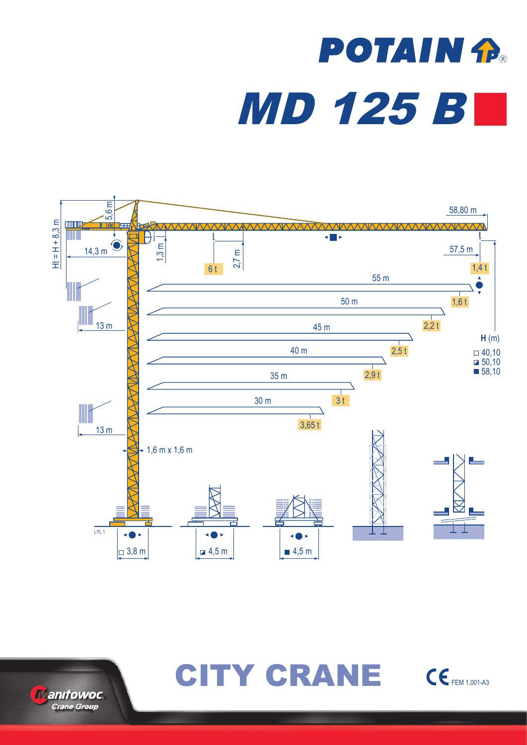# **POTAIN P.** MD 125 B





CITY CRANE CEFEM 1.001-A3

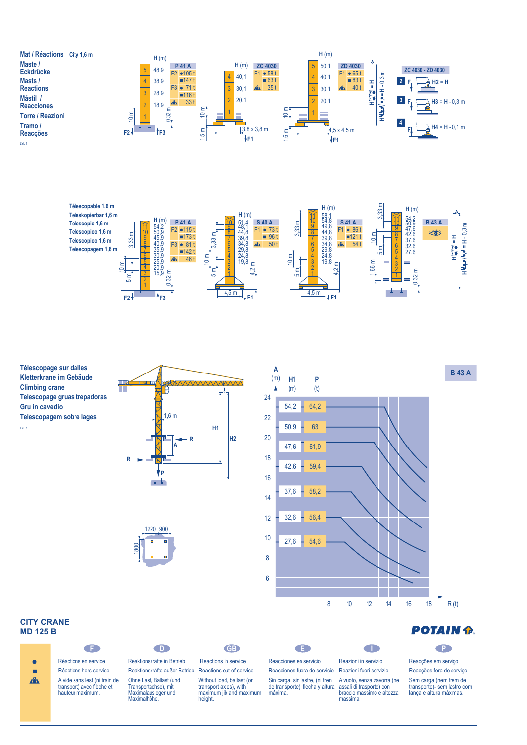





### **CITY CRANE MD 125 B**

| -----------<br><b>MD 125 B</b> |                                                                                | <b>POTAIN P</b>                                                                        |                                                                                           |                                                                                                        |                                                                     |                                                                                  |
|--------------------------------|--------------------------------------------------------------------------------|----------------------------------------------------------------------------------------|-------------------------------------------------------------------------------------------|--------------------------------------------------------------------------------------------------------|---------------------------------------------------------------------|----------------------------------------------------------------------------------|
|                                | a s                                                                            | - D -                                                                                  | <b>GB</b>                                                                                 | a s                                                                                                    | a ma                                                                | . P.                                                                             |
|                                | Réactions en service                                                           | Reaktionskräfte in Betrieb                                                             | Reactions in service                                                                      | Reacciones en servicio                                                                                 | Reazioni in servizio                                                | Reacções em serviço                                                              |
|                                | Réactions hors service                                                         | Reaktionskräfte außer Betrieb                                                          | Reactions out of service                                                                  | Reacciones fuera de servicio Reazioni fuori servizio                                                   |                                                                     | Reacções fora de serviço                                                         |
| $\mathbf{A}$                   | A vide sans lest (ni train de<br>transport) avec flèche et<br>hauteur maximum. | Ohne Last. Ballast (und<br>Transportachse), mit<br>Maximalausleger und<br>Maximalhöhe. | Without load, ballast (or<br>transport axles), with<br>maximum jib and maximum<br>height. | Sin carga, sin lastre, (ni tren<br>de transporte), flecha y altura assali di trasporto) con<br>máxima. | A vuoto, senza zavorra (ne<br>braccio massimo e altezza<br>massima. | Sem carga (nem trem de<br>transporte)- sem lastro com<br>lança e altura máximas. |

8 10 12 14 16 18

 $R(t)$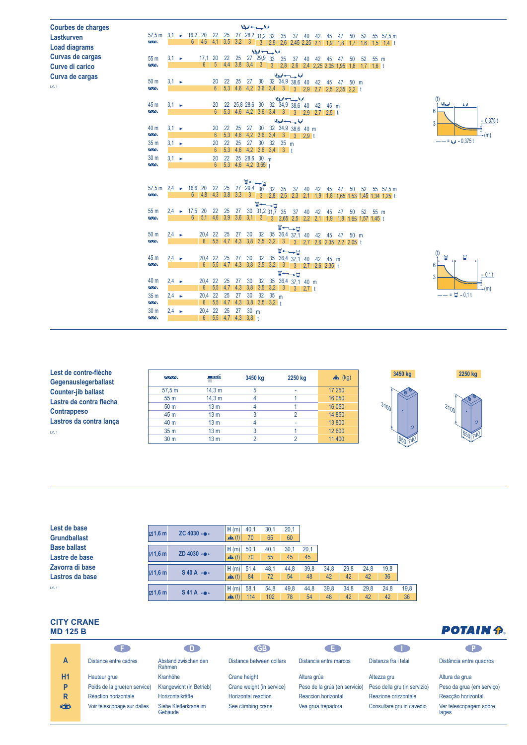| <b>Courbes de charges</b> |                                              |                   |                       |                                              |                                                     |                      |                                                      |       |    | المقاحس لجا                                                      |             |                                                                          |       |          |    |       |     |    |    |                                                                                                                  |                 |  |        |                   |           |  |
|---------------------------|----------------------------------------------|-------------------|-----------------------|----------------------------------------------|-----------------------------------------------------|----------------------|------------------------------------------------------|-------|----|------------------------------------------------------------------|-------------|--------------------------------------------------------------------------|-------|----------|----|-------|-----|----|----|------------------------------------------------------------------------------------------------------------------|-----------------|--|--------|-------------------|-----------|--|
| Lastkurven                | $57.5 m$ 3.1                                 |                   | $\blacktriangleright$ | 16,2 20 22 25 27 28,2 31,2 32 35 37 40 42 45 |                                                     |                      |                                                      |       |    |                                                                  |             |                                                                          |       |          |    |       | 47  | 50 |    |                                                                                                                  | 52 55 57,5 m    |  |        |                   |           |  |
| <b>Load diagrams</b>      | $\overline{N}$                               |                   |                       |                                              | 6 4,6 4,1 3,5 3,2 3 3 2,9 2,6 2,45 2,25 2,1 1,9 1,8 |                      |                                                      |       |    |                                                                  |             |                                                                          |       |          |    |       |     | 17 |    | $1.6$ 1.5 1.4 t                                                                                                  |                 |  |        |                   |           |  |
| Curvas de cargas          | 55 <sub>m</sub>                              | $3.1 \rightarrow$ |                       |                                              | 17.1                                                |                      | 20 22 25 27 29,9 33 35                               |       |    | الملوا سنستدفوا                                                  |             |                                                                          | 37 40 | 42       |    | 45    | -47 | 50 | 52 | 55 m                                                                                                             |                 |  |        |                   |           |  |
| Curve di carico           | <b>AA</b>                                    |                   |                       |                                              | $6^{\circ}$                                         |                      |                                                      |       |    |                                                                  |             |                                                                          |       |          |    |       |     |    |    | $-5$ 4,4 3,8 3,4 3 3 2,8 2,6 2,4 2,25 2,05 1,95 1,8 1,7 1,6 t                                                    |                 |  |        |                   |           |  |
| Curva de cargas           |                                              |                   |                       |                                              |                                                     |                      |                                                      |       |    |                                                                  |             | الملحة وسندرج أوبا                                                       |       |          |    |       |     |    |    |                                                                                                                  |                 |  |        |                   |           |  |
| LYL <sub>1</sub>          | 50 <sub>m</sub><br><b>AA</b>                 | $3.1 \rightarrow$ |                       |                                              |                                                     | 20                   |                                                      | 22 25 | 27 |                                                                  |             | 30 32 34,9 38,6 40 42 45 47 50 m                                         |       |          |    |       |     |    |    |                                                                                                                  |                 |  |        |                   |           |  |
|                           |                                              |                   |                       |                                              |                                                     |                      |                                                      |       |    |                                                                  |             | 6 5,3 4,6 4,2 3,6 3,4 3 3 2,9 2,7 2,5 2,35 2,2 t                         |       |          |    |       |     |    |    |                                                                                                                  |                 |  |        |                   |           |  |
|                           | 45 m                                         | $3,1 \rightarrow$ |                       |                                              |                                                     | 20                   |                                                      |       |    |                                                                  |             | الملوا سنستبد أوبا<br>22 25,8 28,6 30 32 34,9 38,6 40 42 45 m            |       |          |    |       |     |    |    |                                                                                                                  |                 |  | فعطانة | w                 |           |  |
|                           | <b>AA</b>                                    |                   |                       |                                              |                                                     |                      |                                                      |       |    |                                                                  |             | 6 5,3 4,6 4,2 3,6 3,4 3 3 2,9 2,7 2,5 t                                  |       |          |    |       |     |    |    |                                                                                                                  |                 |  | 6      |                   |           |  |
|                           |                                              |                   |                       |                                              |                                                     |                      |                                                      |       |    |                                                                  |             | الملحة سنستدلوا                                                          |       |          |    |       |     |    |    |                                                                                                                  |                 |  | 3      |                   | $-0,375t$ |  |
|                           | 40 m<br>$\overline{\Delta\Delta}$            | $3.1 -$           |                       |                                              |                                                     | 20                   | 22                                                   | 25    | 27 |                                                                  |             | 30 32 34,9 38,6 40 m                                                     |       |          |    |       |     |    |    |                                                                                                                  |                 |  |        |                   |           |  |
|                           | 35 <sub>m</sub>                              | $3.1 \rightarrow$ |                       |                                              |                                                     | 6 <sup>1</sup><br>20 | 22                                                   | 25    | 27 | 30                                                               | $32 \t35 m$ | $5,3$ 4,6 4,2 3,6 3,4 3 3 2,9 t                                          |       |          |    |       |     |    |    |                                                                                                                  |                 |  |        | $-- = 4 - 0.375t$ | (m)       |  |
|                           | $\overline{\wedge}\wedge$                    |                   |                       |                                              |                                                     |                      | 6 5,3 4,6 4,2 3,6 3,4 3 t                            |       |    |                                                                  |             |                                                                          |       |          |    |       |     |    |    |                                                                                                                  |                 |  |        |                   |           |  |
|                           | 30 <sub>m</sub>                              | $3.1 \rightarrow$ |                       |                                              |                                                     | 20                   |                                                      |       |    | 22 25 28,6 30 m                                                  |             |                                                                          |       |          |    |       |     |    |    |                                                                                                                  |                 |  |        |                   |           |  |
|                           | $\sqrt{N}$                                   |                   |                       |                                              |                                                     |                      | $6$ 5,3 4,6 4,2 3,65 +                               |       |    |                                                                  |             |                                                                          |       |          |    |       |     |    |    |                                                                                                                  |                 |  |        |                   |           |  |
|                           |                                              |                   |                       |                                              |                                                     |                      |                                                      |       |    |                                                                  |             |                                                                          |       |          |    |       |     |    |    |                                                                                                                  |                 |  |        |                   |           |  |
|                           | $57.5 \text{ m}$ 2.4 $\rightarrow$           |                   |                       | 16,6 20                                      |                                                     | 22                   | 25                                                   |       |    | $\overline{H}$ $\longrightarrow$ $\overline{H}$<br>27 29,4 30 32 |             | 35 37 40 42                                                              |       |          |    | 45 47 |     |    |    |                                                                                                                  | 50 52 55 57,5 m |  |        |                   |           |  |
|                           | $\sim$                                       |                   |                       |                                              | 6 4.8 4.3 3.8 3.3                                   |                      |                                                      |       |    |                                                                  |             |                                                                          |       |          |    |       |     |    |    | 3 3 2,8 2,5 2,3 2,1 1,9 1,8 1,65 1,53 1,45 1,34 1,25 t                                                           |                 |  |        |                   |           |  |
|                           |                                              |                   |                       |                                              |                                                     |                      |                                                      |       |    | W-B                                                              |             |                                                                          |       |          |    |       |     |    |    |                                                                                                                  |                 |  |        |                   |           |  |
|                           | 55 <sub>m</sub><br><b>AAN</b>                | $2.4^{\circ}$     | $\blacktriangleright$ | 17,5                                         | -20                                                 |                      | 22 25                                                | - 27  |    | $30$ $31,2$ $31,7$ $35$                                          |             |                                                                          |       | 37 40 42 | 45 |       | -47 | 50 |    | 52 55 m<br>6   5,1   4,6   3,9   3,6   3,1   3   3   2,65   2,5   2,2   2,1   1,9   1,8   1,65   1,57   1,45   1 |                 |  |        |                   |           |  |
|                           |                                              |                   |                       |                                              |                                                     |                      |                                                      |       |    |                                                                  |             | <b>घ−−</b> –घ                                                            |       |          |    |       |     |    |    |                                                                                                                  |                 |  |        |                   |           |  |
|                           | 50 <sub>m</sub>                              | $2,4 \rightarrow$ |                       |                                              |                                                     |                      |                                                      |       |    |                                                                  |             | 20,4 22 25 27 30 32 35 36,4 37,1 40 42 45 47 50 m                        |       |          |    |       |     |    |    |                                                                                                                  |                 |  |        |                   |           |  |
|                           | <b>AA</b>                                    |                   |                       |                                              | 6                                                   |                      | 5,5 4,7 4,3 3,8 3,5 3,2                              |       |    |                                                                  |             | 3 3 2,7 2,6 2,35 2,2 2,05 t                                              |       |          |    |       |     |    |    |                                                                                                                  |                 |  |        |                   |           |  |
|                           |                                              |                   |                       |                                              |                                                     |                      |                                                      |       |    |                                                                  |             | ष—–⊢                                                                     |       |          |    |       |     |    |    |                                                                                                                  |                 |  | (t)    | Ħ                 |           |  |
|                           | 45 <sub>m</sub><br>$\overline{\wedge}\wedge$ | $2.4 \rightarrow$ |                       |                                              | 20.4<br>$6^{\circ}$                                 | 22                   | 25                                                   | - 27  | 30 |                                                                  |             | 32 35 36,4 37,1 40 42 45 m<br>5,5 4,7 4,3 3,8 3,5 3,2 3 3 2,7 2,6 2,35 t |       |          |    |       |     |    |    |                                                                                                                  |                 |  | 6      |                   |           |  |
|                           |                                              |                   |                       |                                              |                                                     |                      |                                                      |       |    |                                                                  |             | ष—–⊭                                                                     |       |          |    |       |     |    |    |                                                                                                                  |                 |  |        |                   | $-0.1t$   |  |
|                           | 40 <sub>m</sub>                              | $2.4 \rightarrow$ |                       |                                              | 20.4                                                | -22                  | 25                                                   | 27    | 30 |                                                                  |             | 32 35 36,4 37,1 40 m                                                     |       |          |    |       |     |    |    |                                                                                                                  |                 |  | 3      |                   |           |  |
|                           | $\overline{\wedge}\overline{\wedge}$         |                   |                       |                                              |                                                     |                      |                                                      |       |    |                                                                  |             | 6 5,5 4,7 4,3 3,8 3,5 3,2 3 3 2.7 t                                      |       |          |    |       |     |    |    |                                                                                                                  |                 |  |        |                   | $-(m)$    |  |
|                           | 35 <sub>m</sub><br>W                         |                   | $2.4 \rightarrow$     |                                              | 20.4                                                |                      | 22 25 27 30 32 35 m<br>$6$ 5,5 4,7 4,3 3,8 3,5 3,2 t |       |    |                                                                  |             |                                                                          |       |          |    |       |     |    |    |                                                                                                                  |                 |  |        | $--- = 27 - 0.11$ |           |  |
|                           | 30 <sub>m</sub>                              | $2.4 \rightarrow$ |                       |                                              | 20,4 22 25 27 30 m                                  |                      |                                                      |       |    |                                                                  |             |                                                                          |       |          |    |       |     |    |    |                                                                                                                  |                 |  |        |                   |           |  |
|                           | $\sqrt{N}$                                   |                   |                       |                                              |                                                     |                      | $6$ $5,5$ $4,7$ $4,3$ $3,8$ $+$                      |       |    |                                                                  |             |                                                                          |       |          |    |       |     |    |    |                                                                                                                  |                 |  |        |                   |           |  |

| Lest de contre-flèche      | <b>AAAN</b>     | ▬ <del>๔</del>  | 3450 kg | 2250 kg | $x^2$ (kg) | 3450 kg       | 2250 kg        |
|----------------------------|-----------------|-----------------|---------|---------|------------|---------------|----------------|
| Gegenauslegerballast       |                 |                 |         |         |            |               |                |
| <b>Counter-jib ballast</b> | 57.5 m          | 14.3 m          |         |         | 17 250     |               |                |
| Lastre de contra flecha    | 55 <sub>m</sub> | 14.3 m          |         |         | 16 050     |               |                |
|                            | 50 <sub>m</sub> | 13 <sub>m</sub> |         |         | 16 0 50    | 3160          | 3100           |
| <b>Contrappeso</b>         | 45 m            | 13 <sub>m</sub> |         |         | 14 8 50    |               |                |
| Lastros da contra lança    | 40 <sub>m</sub> | 13 <sub>m</sub> |         |         | 13 800     |               | $\overline{O}$ |
| LYL <sub>1</sub>           | 35 <sub>m</sub> | 13 <sub>m</sub> |         |         | 12 600     | $\mathcal{O}$ |                |
|                            | 30 <sub>m</sub> | 13 <sub>m</sub> |         |         | 11 400     |               |                |
|                            |                 |                 |         |         |            |               |                |

| Lest de base<br><b>Grundballast</b> | $\boxdot$ 1,6 m | ZC $4030 \cdot \bullet \cdot$ | H(m)<br>$\mathbf{A}$ (t) | 40.<br>70 | 30.<br>65 | 20,1<br>60 |      |      |      |      |      |      |
|-------------------------------------|-----------------|-------------------------------|--------------------------|-----------|-----------|------------|------|------|------|------|------|------|
| <b>Base ballast</b>                 |                 |                               | H(m)                     | 50,1      | 40.7      | 30.7       | 20,1 |      |      |      |      |      |
| Lastre de base                      | $\boxdot$ 1,6 m | ZD 4030 $\cdot \bullet \cdot$ | $\mathbf{A}$ (t)         | 70        | 55        | 45         | 45   |      |      |      |      |      |
| Zavorra di base                     | $\boxdot$ 1,6 m | $S$ 40 A $\rightarrow$        | H(m)                     | 51,4      | 48,1      | 44,8       | 39,8 | 34,8 | 29,8 | 24,8 | 19,8 |      |
| Lastros da base                     |                 |                               | $\mathbf{A}$ (t)         | 84        | 72        | 54         | 48   | 42   | 42   | 42   | 36   |      |
| LYL <sub>1</sub>                    | $\boxdot$ 1,6 m | $S41A \cdot \bullet$          | H(m)                     | 58,1      | 54,8      | 49,8       | 44,8 | 39,8 | 34,8 | 29,8 | 24,8 | 19,8 |
|                                     |                 |                               | $\mathbf{A}$ (t)         | 114       | 102       | 78         | 54   | 48   | 42   | 42   | 42   | 36   |

#### **CITY CRANE MD 125 B**

| ש טבר שוטו |                              |                                  |                            |                               |                              |                                 |
|------------|------------------------------|----------------------------------|----------------------------|-------------------------------|------------------------------|---------------------------------|
|            | . F .                        | D.                               | GB                         | . E.                          | a ka                         | . P.                            |
| A          | Distance entre cadres        | Abstand zwischen den<br>Rahmen   | Distance between collars   | Distancia entra marcos        | Distanza fra i telai         | Distância entre quadros         |
| H1         | Hauteur grue                 | Kranhöhe                         | Crane height               | Altura grúa                   | Altezza gru                  | Altura da grua                  |
| P          | Poids de la grue(en service) | Krangewicht (in Betrieb)         | Crane weight (in service)  | Peso de la grúa (en servicio) | Peso della gru (in servizio) | Peso da grua (em serviço)       |
| R          | Réaction horizontale         | Horizontalkräfte                 | <b>Horizontal reaction</b> | Reaccion horizontal           | Reazione orizzontale         | Reacção horizontal              |
| ₩          | Voir télescopage sur dalles  | Siehe Kletterkrane im<br>Gebäude | See climbing crane         | Vea grua trepadora            | Consultare gru in cavedio    | Ver telescopagem sobre<br>lages |

## **POTAIN P.**